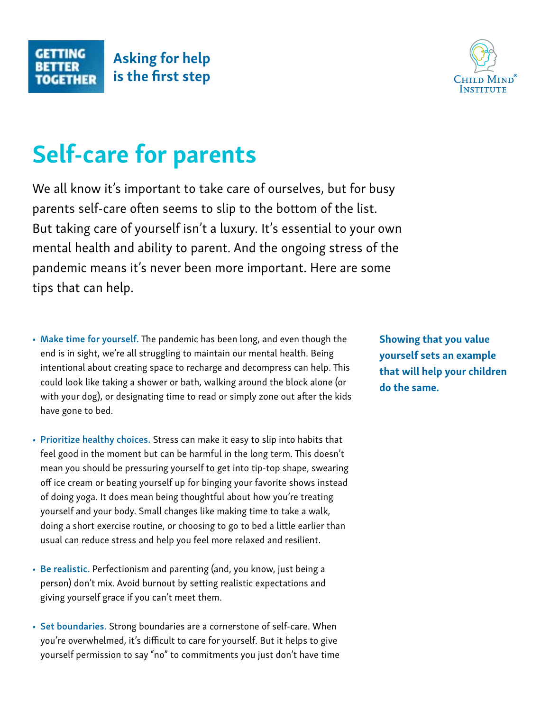

## Self-care for parents

We all know it's important to take care of ourselves, but for busy parents self-care often seems to slip to the bottom of the list. But taking care of yourself isn't a luxury. It's essential to your own mental health and ability to parent. And the ongoing stress of the pandemic means it's never been more important. Here are some tips that can help.

- Make time for yourself. The pandemic has been long, and even though the end is in sight, we're all struggling to maintain our mental health. Being intentional about creating space to recharge and decompress can help. This could look like taking a shower or bath, walking around the block alone (or with your dog), or designating time to read or simply zone out after the kids have gone to bed.
- Prioritize healthy choices. Stress can make it easy to slip into habits that feel good in the moment but can be harmful in the long term. This doesn't mean you should be pressuring yourself to get into tip-top shape, swearing off ice cream or beating yourself up for binging your favorite shows instead of doing yoga. It does mean being thoughtful about how you're treating yourself and your body. Small changes like making time to take a walk, doing a short exercise routine, or choosing to go to bed a little earlier than usual can reduce stress and help you feel more relaxed and resilient.
- Be realistic. Perfectionism and parenting (and, you know, just being a person) don't mix. Avoid burnout by setting realistic expectations and giving yourself grace if you can't meet them.
- Set boundaries. Strong boundaries are a cornerstone of self-care. When you're overwhelmed, it's difficult to care for yourself. But it helps to give yourself permission to say "no" to commitments you just don't have time

Showing that you value yourself sets an example that will help your children do the same.